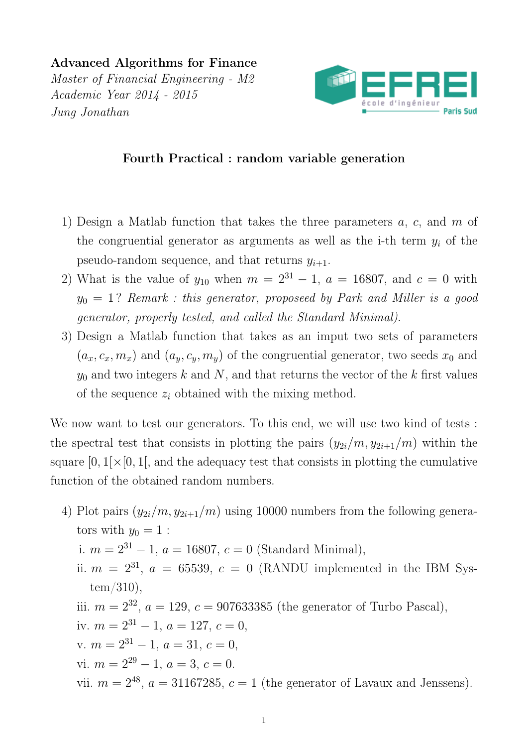Advanced Algorithms for Finance Master of Financial Engineering - M2 Academic Year 2014 - 2015 Jung Jonathan



## Fourth Practical : random variable generation

- 1) Design a Matlab function that takes the three parameters a, c, and m of the congruential generator as arguments as well as the i-th term  $y_i$  of the pseudo-random sequence, and that returns  $y_{i+1}$ .
- 2) What is the value of  $y_{10}$  when  $m = 2^{31} 1$ ,  $a = 16807$ , and  $c = 0$  with  $y_0 = 1$ ? Remark : this generator, proposeed by Park and Miller is a good generator, properly tested, and called the Standard Minimal).
- 3) Design a Matlab function that takes as an imput two sets of parameters  $(a_x, c_x, m_x)$  and  $(a_y, c_y, m_y)$  of the congruential generator, two seeds  $x_0$  and  $y_0$  and two integers k and N, and that returns the vector of the k first values of the sequence  $z_i$  obtained with the mixing method.

We now want to test our generators. To this end, we will use two kind of tests : the spectral test that consists in plotting the pairs  $(y_{2i}/m, y_{2i+1}/m)$  within the square  $[0, 1] \times [0, 1]$ , and the adequacy test that consists in plotting the cumulative function of the obtained random numbers.

4) Plot pairs  $(y_{2i}/m, y_{2i+1}/m)$  using 10000 numbers from the following generators with  $y_0 = 1$ : i.  $m = 2^{31} - 1$ ,  $a = 16807$ ,  $c = 0$  (Standard Minimal), ii.  $m = 2^{31}$ ,  $a = 65539$ ,  $c = 0$  (RANDU implemented in the IBM System/310), iii.  $m = 2^{32}$ ,  $a = 129$ ,  $c = 907633385$  (the generator of Turbo Pascal), iv.  $m = 2^{31} - 1$ ,  $a = 127$ ,  $c = 0$ , v.  $m = 2^{31} - 1$ ,  $a = 31$ ,  $c = 0$ , vi.  $m = 2^{29} - 1$ ,  $a = 3$ ,  $c = 0$ . vii.  $m = 2^{48}$ ,  $a = 31167285$ ,  $c = 1$  (the generator of Lavaux and Jenssens).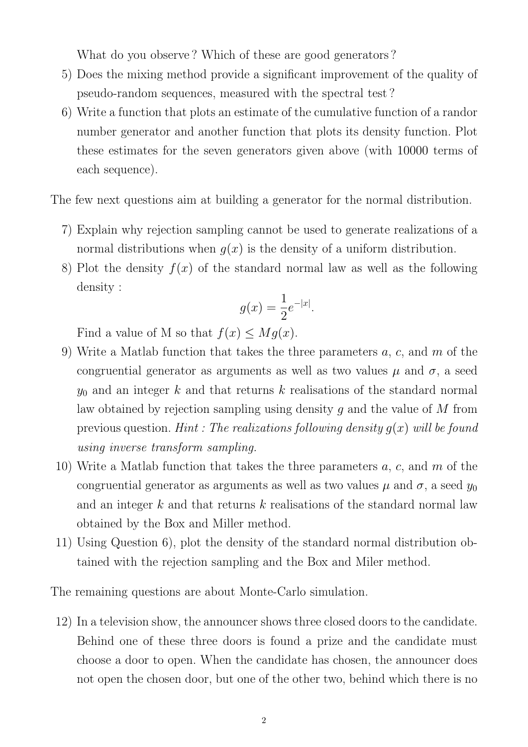What do you observe ? Which of these are good generators ?

- 5) Does the mixing method provide a significant improvement of the quality of pseudo-random sequences, measured with the spectral test ?
- 6) Write a function that plots an estimate of the cumulative function of a randor number generator and another function that plots its density function. Plot these estimates for the seven generators given above (with 10000 terms of each sequence).

The few next questions aim at building a generator for the normal distribution.

- 7) Explain why rejection sampling cannot be used to generate realizations of a normal distributions when  $q(x)$  is the density of a uniform distribution.
- 8) Plot the density  $f(x)$  of the standard normal law as well as the following density :

$$
g(x) = \frac{1}{2}e^{-|x|}.
$$

Find a value of M so that  $f(x) \leq Mg(x)$ .

- 9) Write a Matlab function that takes the three parameters  $a, c$ , and  $m$  of the congruential generator as arguments as well as two values  $\mu$  and  $\sigma$ , a seed  $y_0$  and an integer k and that returns k realisations of the standard normal law obtained by rejection sampling using density  $g$  and the value of  $M$  from previous question. Hint : The realizations following density  $g(x)$  will be found using inverse transform sampling.
- 10) Write a Matlab function that takes the three parameters  $a, c$ , and  $m$  of the congruential generator as arguments as well as two values  $\mu$  and  $\sigma$ , a seed  $y_0$ and an integer  $k$  and that returns  $k$  realisations of the standard normal law obtained by the Box and Miller method.
- 11) Using Question 6), plot the density of the standard normal distribution obtained with the rejection sampling and the Box and Miler method.

The remaining questions are about Monte-Carlo simulation.

12) In a television show, the announcer shows three closed doors to the candidate. Behind one of these three doors is found a prize and the candidate must choose a door to open. When the candidate has chosen, the announcer does not open the chosen door, but one of the other two, behind which there is no